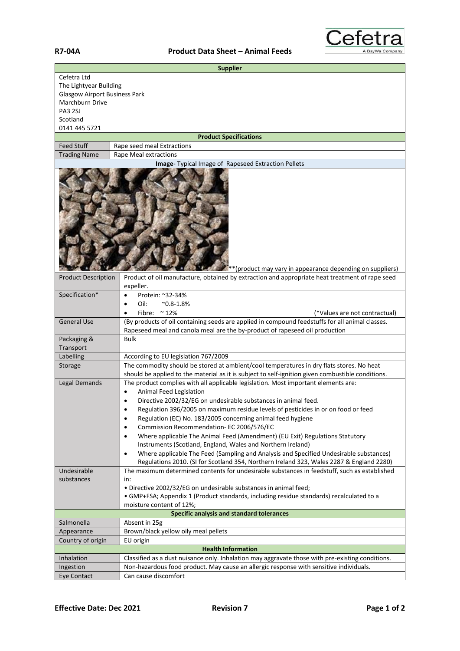## **R7-04A Product Data Sheet – Animal Feeds**



| <b>Supplier</b>                           |                                                                                                                                                                          |  |  |  |  |
|-------------------------------------------|--------------------------------------------------------------------------------------------------------------------------------------------------------------------------|--|--|--|--|
| Cefetra Ltd                               |                                                                                                                                                                          |  |  |  |  |
| The Lightyear Building                    |                                                                                                                                                                          |  |  |  |  |
| <b>Glasgow Airport Business Park</b>      |                                                                                                                                                                          |  |  |  |  |
| Marchburn Drive                           |                                                                                                                                                                          |  |  |  |  |
| <b>PA3 2SJ</b>                            |                                                                                                                                                                          |  |  |  |  |
| Scotland                                  |                                                                                                                                                                          |  |  |  |  |
| 0141 445 5721                             |                                                                                                                                                                          |  |  |  |  |
|                                           | <b>Product Specifications</b>                                                                                                                                            |  |  |  |  |
| <b>Feed Stuff</b>                         | Rape seed meal Extractions                                                                                                                                               |  |  |  |  |
| <b>Trading Name</b>                       | Rape Meal extractions<br>Image- Typical Image of Rapeseed Extraction Pellets                                                                                             |  |  |  |  |
|                                           |                                                                                                                                                                          |  |  |  |  |
| <b>Product Description</b>                | **(product may vary in appearance depending on suppliers)<br>Product of oil manufacture, obtained by extraction and appropriate heat treatment of rape seed<br>expeller. |  |  |  |  |
| Specification*                            | Protein: ~32-34%<br>$\bullet$                                                                                                                                            |  |  |  |  |
|                                           | Oil:<br>$^{\sim}0.8 - 1.8\%$<br>$\bullet$                                                                                                                                |  |  |  |  |
|                                           | Fibre: $\approx$ 12%<br>(*Values are not contractual)<br>٠                                                                                                               |  |  |  |  |
| <b>General Use</b>                        | (By products of oil containing seeds are applied in compound feedstuffs for all animal classes.                                                                          |  |  |  |  |
|                                           | Rapeseed meal and canola meal are the by-product of rapeseed oil production                                                                                              |  |  |  |  |
| Packaging &                               | <b>Bulk</b>                                                                                                                                                              |  |  |  |  |
| Transport                                 |                                                                                                                                                                          |  |  |  |  |
| Labelling                                 | According to EU legislation 767/2009                                                                                                                                     |  |  |  |  |
| Storage                                   | The commodity should be stored at ambient/cool temperatures in dry flats stores. No heat                                                                                 |  |  |  |  |
|                                           | should be applied to the material as it is subject to self-ignition given combustible conditions.                                                                        |  |  |  |  |
| Legal Demands                             | The product complies with all applicable legislation. Most important elements are:                                                                                       |  |  |  |  |
|                                           | Animal Feed Legislation                                                                                                                                                  |  |  |  |  |
|                                           | Directive 2002/32/EG on undesirable substances in animal feed.                                                                                                           |  |  |  |  |
|                                           | Regulation 396/2005 on maximum residue levels of pesticides in or on food or feed                                                                                        |  |  |  |  |
|                                           | Regulation (EC) No. 183/2005 concerning animal feed hygiene<br>٠                                                                                                         |  |  |  |  |
|                                           | Commission Recommendation- EC 2006/576/EC<br>$\bullet$                                                                                                                   |  |  |  |  |
|                                           | Where applicable The Animal Feed (Amendment) (EU Exit) Regulations Statutory<br>$\bullet$                                                                                |  |  |  |  |
|                                           | Instruments (Scotland, England, Wales and Northern Ireland)                                                                                                              |  |  |  |  |
|                                           | Where applicable The Feed (Sampling and Analysis and Specified Undesirable substances)<br>$\bullet$                                                                      |  |  |  |  |
|                                           | Regulations 2010. (SI for Scotland 354, Northern Ireland 323, Wales 2287 & England 2280)                                                                                 |  |  |  |  |
| Undesirable                               | The maximum determined contents for undesirable substances in feedstuff, such as established                                                                             |  |  |  |  |
| substances                                | in:                                                                                                                                                                      |  |  |  |  |
|                                           | . Directive 2002/32/EG on undesirable substances in animal feed;                                                                                                         |  |  |  |  |
|                                           | • GMP+FSA; Appendix 1 (Product standards, including residue standards) recalculated to a                                                                                 |  |  |  |  |
|                                           | moisture content of 12%;                                                                                                                                                 |  |  |  |  |
| Specific analysis and standard tolerances |                                                                                                                                                                          |  |  |  |  |
| Salmonella                                | Absent in 25g                                                                                                                                                            |  |  |  |  |
| Appearance                                | Brown/black yellow oily meal pellets                                                                                                                                     |  |  |  |  |
| Country of origin                         | EU origin                                                                                                                                                                |  |  |  |  |
| <b>Health Information</b>                 |                                                                                                                                                                          |  |  |  |  |
| Inhalation                                | Classified as a dust nuisance only. Inhalation may aggravate those with pre-existing conditions.                                                                         |  |  |  |  |
| Ingestion                                 | Non-hazardous food product. May cause an allergic response with sensitive individuals.                                                                                   |  |  |  |  |
| Eye Contact                               | Can cause discomfort                                                                                                                                                     |  |  |  |  |